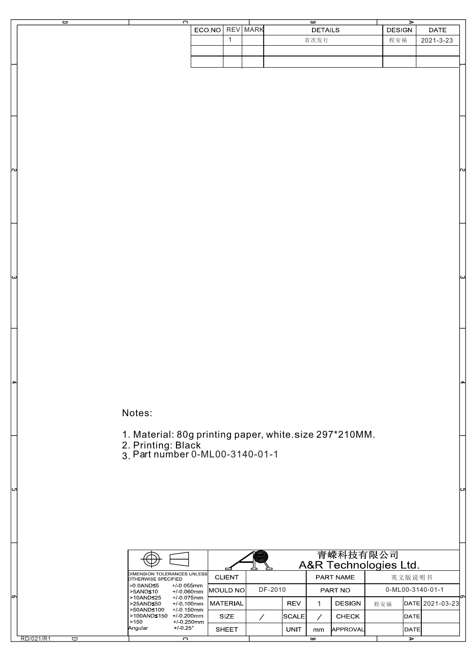| ᆸ | っ |                 |  | ₩              |               |           |
|---|---|-----------------|--|----------------|---------------|-----------|
|   |   | ECO NO REV MARK |  | <b>DETAILS</b> | <b>DESIGN</b> | DATE      |
|   |   |                 |  | 首次发行           | 程安福           | 2021-3-23 |
|   |   |                 |  |                |               |           |
|   |   |                 |  |                |               |           |
|   |   |                 |  |                |               |           |

Notes:

RD/021/R1

 $\overline{\phantom{a}}$ 

1. Material: 80g printing paper, white.size 297\*210MM.

2. Printing: Black

3. Part number 0-ML00-3140-01-1

|                                                       | 青嵘科技有限公司<br>A&R Technologies Ltd.            |               |                          |             |                  |                 |                  |              |                 |
|-------------------------------------------------------|----------------------------------------------|---------------|--------------------------|-------------|------------------|-----------------|------------------|--------------|-----------------|
| DIMENSION TOLERANCES UNLESSI<br>OTHERWISE SPECIFIED   |                                              | <b>CLIENT</b> |                          |             | <b>PART NAME</b> |                 | 英文版说明书           |              |                 |
| $>0.0$ AND $\leq 5$<br>$>5$ AND $\leq 10$             | $+/0.055$ mm<br>$+/0.060$ mm                 | IMOULD NOI    | DF-2010                  |             | <b>PART NO</b>   |                 | 0-ML00-3140-01-1 |              |                 |
| $>10$ AND $\leq 25$<br>$>25AND \leq 50$<br>>50AND≤100 | $+/0.075$ mm<br>$+/0.100$ mm<br>$+/0.150$ mm | MATERIAL      |                          | <b>REV</b>  |                  | <b>DESIGN</b>   | 程安福              |              | DATE 2021-03-23 |
| >100AND≤150<br>>150                                   | $+1.0.200$ mm<br>$+/0.250$ mm                | <b>SIZE</b>   |                          | ISCALEI     |                  | <b>CHECK</b>    |                  | <b>IDATE</b> |                 |
| Angular                                               | $+1.025^{\circ}$                             | <b>SHEET</b>  |                          | <b>UNIT</b> | mm               | <b>APPROVAL</b> |                  | IDATEI       |                 |
| C                                                     |                                              |               | $\overline{\phantom{a}}$ |             |                  |                 | ⋗                |              |                 |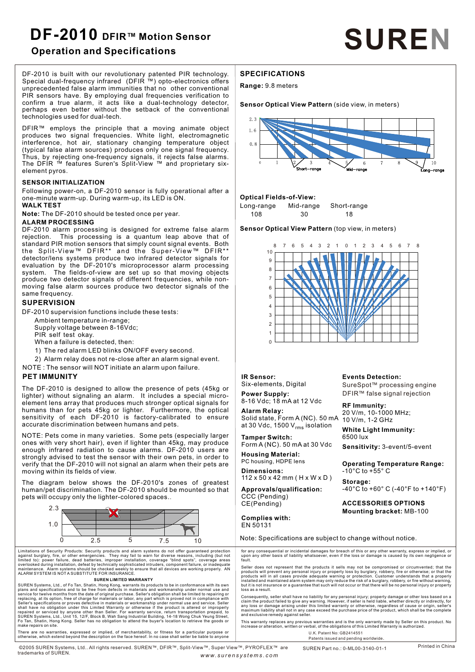# **DF-2010 DFIR™ Motion Sensor Operation and Specifications SUREN**

DF-2010 is built with our revolutionary patented PIR technology. Special dual-frequency infrared (DFIR ™) opto-electronics offers unprecedented false alarm immunities that no other conventional PIR sensors have. By employing dual frequencies verification to confirm a true alarm, it acts like a dual-technology detector, perhaps even better without the setback of the conventional technologies used for dual-tech.

DFIR™ employs the principle that a moving animate object produces two signal frequencies. White light, electromagnetic interference, hot air, stationary changing temperature object (typical false alarm sources) produces only one signal frequency. Thus, by rejecting one-frequency signals, it rejects false alarms. The DFIR ™ features Suren's Split-View ™ and proprietary sixelement pyros.

#### **SENSOR INITIALIZATION**

Following power-on, a DF-2010 sensor is fully operational after a one-minute warm-up. During warm-up, its LED is ON.

# **WALK TEST**

**Note:** The DF-2010 should be tested once per year.

# **ALARM PROCESSING**

DF-2010 alarm processing is designed for extreme false alarm rejection. This processing is a quantum leap above that of standard PIR motion sensors that simply count signal events. Both the Split-View™ DFIR<sup>\*\*</sup> and the Super-View™ DFIR<sup>\*\*</sup> detector/lens systems produce two infrared detector signals for evaluation by the DF-2010's microprocessor alarm processing The fields-of-view are set up so that moving objects produce two detector signals of different frequencies, while nonmoving false alarm sources produce two detector signals of the same frequency.

## **SUPERVISION**

DF-2010 supervision functions include these tests:

- Ambient temperature in-range;
- Supply voltage between 8-16Vdc; PIR self test okay.

When a failure is detected, then:

- 1) The red alarm LED blinks ON/OFF every second.
- 2) Alarm relay does not re-close after an alarm signal event.
- NOTE : The sensor will NOT initiate an alarm upon failure.

## **PET IMMUNITY**

trademarks of SUREN.

The DF-2010 is designed to allow the presence of pets (45kg or lighter) without signaling an alarm. It includes a special microelement lens array that produces much stronger optical signals for humans than for pets 45kg or lighter. Furthermore, the optical sensitivity of each DF-2010 is factory-calibrated to ensure accurate discrimination between humans and pets.

NOTE: Pets come in many varieties. Some pets (especially larger ones with very short hair), even if lighter than 45kg, may produce enough infrared radiation to cause alarms. DF-2010 users are strongly advised to test the sensor with their own pets, in order to verify that the DF-2010 will not signal an alarm when their pets are moving within its fields of view.

The diagram below shows the DF-2010's zones of greatest human/pet discrimination. The DF-2010 should be mounted so that pets will occupy only the lighter-colored spaces..



Limitations of Security Products: Security products and alarm systems do not offer guaranteed protection<br>Illustrations of Security Products: Security products and alarm systems do not offer guaranteed protection<br>Illustrati

SUREN Systems, Ltd., of Fo Tan, Shatin, Hong Kong, warrants its products to be in conformance with its own but it is not insurance or a guarantee that such will not occur or that there will be no personal injury or propert service for twelve months from the date of original purchase. Seller's obligation shall be limited to repairing or<br>The consequently, seller shall have no liability for any personal injury; property damage or other loss bas or and the serviced by anyone other than Seller. For warranty service, return transportation prepaid, to maximum liability shall not in any case exceed the purchase price of the product, which shall be the complete<br>SUREN S Fo Tan, Shatin, Hong Kong. Seller has no obligation to attend the buyer's location to retrieve the goods or This warranty replaces any previous warranties and is the only warranty made by Seller on this product. No<br>Increas make repairs on site.

There are no warranties, expressed or implied, of merchantability, or fitness for a particular purpose or otherwise, which extend beyond the description on the face hereof. In no case shall seller be liable to anyone

©2005 SUREN Systems, Ltd.. All rights reserved. SUREN™, DFIR™, Split-View™, Super View™, PYROFLEX™ are

# **SPECIFICATIONS**

**Range:** 9.8 meters

**Sensor Optical View Pattern** (side view, in meters)



#### **Optical Fields-of-View:**

Long-range Mid-range Short-range 108 30 18

**Sensor Optical View Pattern** (top view, in meters)



**IR Sensor:** Six-elements, Digital

**Power Supply:** 8-16 Vdc; 18 mA at 12 Vdc

**Alarm Relay:** Solid state, Form A (NC). 50 mA at 30 Vdc, 1500  $V_{\rm rms}$  isolation **Tamper Switch:**

Form A (NC). 50 mA at 30 Vdc

**Housing Material:** PC housing, HDPE lens

**Dimensions:**  112 x 50 x 42 mm ( H x W x D )

**Approvals/qualification:**  CCC (Pending) CE(Pending)

**Complies with:** EN 50131

**RF Immunity:**

**Events Detection:**

20 V/m, 10-1000 MHz; 10 V/m, 1-2 GHz

**White Light Immunity:** 6500 lux **Sensitivity:** 3-event/5-event

SureSpot™ processing engine DFIR™ false signal rejection

**Operating Temperature Range:**   $-10^{\circ}$ C to  $+55^{\circ}$  C

**Storage:**  -40°C to +60° C (-40°F to +140°F)

**ACCESSORIES OPTIONS Mounting bracket:** MB-100

Note: Specifications are subject to change without notice.

Seller does not represent that the products it sells may not be compromised or circumvented; that the products will prevent any personal injury or property loss by burglary, robbery, fire or otherwise; or that the products products will in all cases provide adequate warning or protection. Customer understands that a properly<br>installed and maintained alarm system may only reduce the risk of a burglary, robbery, or fire without warning,<br>tin, H

SUREN Part no.: 0-ML00-3140-01-1 U.K. Patent No: GB2414551 Patents issued and pending worldwide.